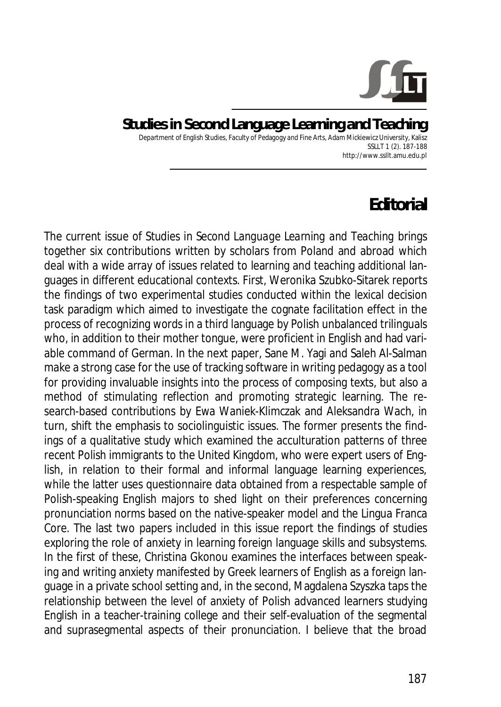

## **Studies in Second Language Learning and Teaching**  Department of English Studies, Faculty of Pedagogy and Fine Arts, Adam Mickiewicz University, Kalisz SSLLT 1 (2). 187-188 http://www.ssllt.amu.edu.pl

## **Editorial**

The current issue of *Studies in Second Language Learning and Teaching* brings together six contributions written by scholars from Poland and abroad which deal with a wide array of issues related to learning and teaching additional languages in different educational contexts. First, Weronika Szubko-Sitarek reports the findings of two experimental studies conducted within the lexical decision task paradigm which aimed to investigate the cognate facilitation effect in the process of recognizing words in a third language by Polish unbalanced trilinguals who, in addition to their mother tongue, were proficient in English and had variable command of German. In the next paper, Sane M. Yagi and Saleh Al-Salman make a strong case for the use of tracking software in writing pedagogy as a tool for providing invaluable insights into the process of composing texts, but also a method of stimulating reflection and promoting strategic learning. The research-based contributions by Ewa Waniek-Klimczak and Aleksandra Wach, in turn, shift the emphasis to sociolinguistic issues. The former presents the findings of a qualitative study which examined the acculturation patterns of three recent Polish immigrants to the United Kingdom, who were expert users of English, in relation to their formal and informal language learning experiences, while the latter uses questionnaire data obtained from a respectable sample of Polish-speaking English majors to shed light on their preferences concerning pronunciation norms based on the native-speaker model and the Lingua Franca Core. The last two papers included in this issue report the findings of studies exploring the role of anxiety in learning foreign language skills and subsystems. In the first of these, Christina Gkonou examines the interfaces between speaking and writing anxiety manifested by Greek learners of English as a foreign language in a private school setting and, in the second, Magdalena Szyszka taps the relationship between the level of anxiety of Polish advanced learners studying English in a teacher-training college and their self-evaluation of the segmental and suprasegmental aspects of their pronunciation. I believe that the broad